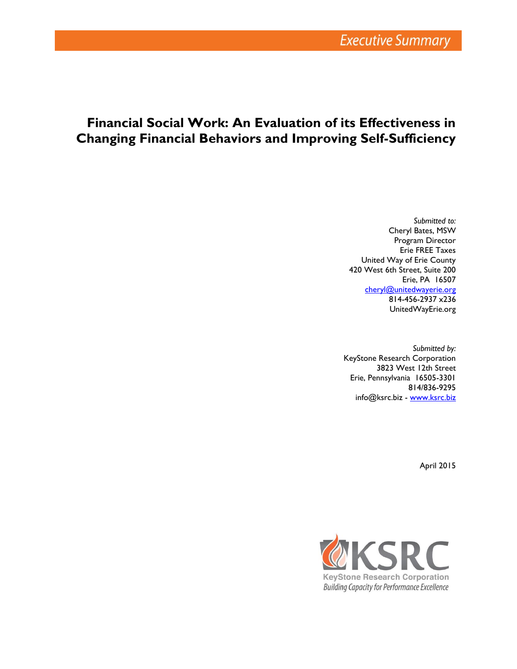# **Financial Social Work: An Evaluation of its Effectiveness in Changing Financial Behaviors and Improving Self-Sufficiency**

*Submitted to:* Cheryl Bates, MSW Program Director Erie FREE Taxes United Way of Erie County 420 West 6th Street, Suite 200 Erie, PA 16507 [cheryl@unitedwayerie.org](mailto:cheryl@unitedwayerie.org) 814-456-2937 x236 UnitedWayErie.org

*Submitted by:* KeyStone Research Corporation 3823 West 12th Street Erie, Pennsylvania 16505-3301 814/836-9295 info@ksrc.biz - [www.ksrc.biz](http://www.ksrc.biz/)

April 2015

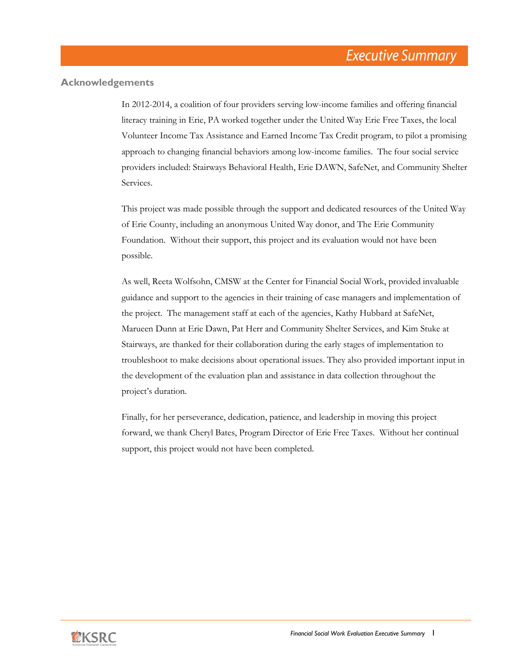### **Acknowledgements**

In 2012-2014, a coalition of four providers serving low-income families and offering financial literacy training in Erie, PA worked together under the United Way Erie Free Taxes, the local Volunteer Income Tax Assistance and Earned Income Tax Credit program, to pilot a promising approach to changing financial behaviors among low-income families. The four social service providers included: Stairways Behavioral Health, Erie DAWN, SafeNet, and Community Shelter Services.

This project was made possible through the support and dedicated resources of the United Way of Erie County, including an anonymous United Way donor, and The Erie Community Foundation. Without their support, this project and its evaluation would not have been possible.

As well, Reeta Wolfsohn, CMSW at the Center for Financial Social Work, provided invaluable guidance and support to the agencies in their training of case managers and implementation of the project. The management staff at each of the agencies, Kathy Hubbard at SafeNet, Marueen Dunn at Erie Dawn, Pat Herr and Community Shelter Services, and Kim Stuke at Stairways, are thanked for their collaboration during the early stages of implementation to troubleshoot to make decisions about operational issues. They also provided important input in the development of the evaluation plan and assistance in data collection throughout the project's duration.

Finally, for her perseverance, dedication, patience, and leadership in moving this project forward, we thank Cheryl Bates, Program Director of Erie Free Taxes. Without her continual support, this project would not have been completed.

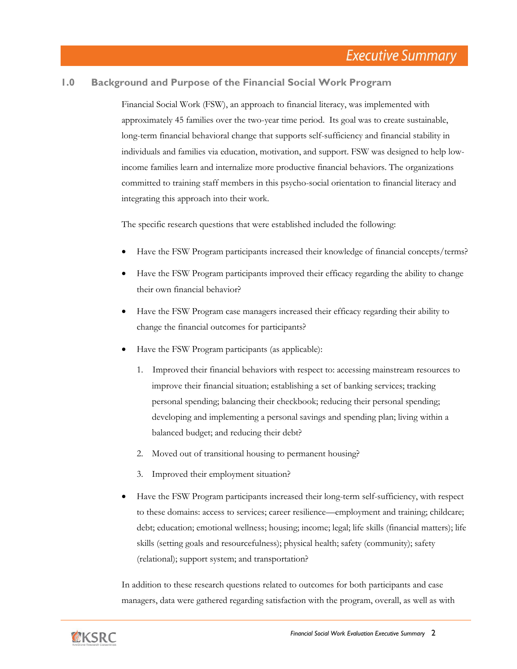## **1.0 Background and Purpose of the Financial Social Work Program**

Financial Social Work (FSW), an approach to financial literacy, was implemented with approximately 45 families over the two-year time period. Its goal was to create sustainable, long-term financial behavioral change that supports self-sufficiency and financial stability in individuals and families via education, motivation, and support. FSW was designed to help lowincome families learn and internalize more productive financial behaviors. The organizations committed to training staff members in this psycho-social orientation to financial literacy and integrating this approach into their work.

The specific research questions that were established included the following:

- Have the FSW Program participants increased their knowledge of financial concepts/terms?
- Have the FSW Program participants improved their efficacy regarding the ability to change their own financial behavior?
- Have the FSW Program case managers increased their efficacy regarding their ability to change the financial outcomes for participants?
- Have the FSW Program participants (as applicable):
	- 1. Improved their financial behaviors with respect to: accessing mainstream resources to improve their financial situation; establishing a set of banking services; tracking personal spending; balancing their checkbook; reducing their personal spending; developing and implementing a personal savings and spending plan; living within a balanced budget; and reducing their debt?
	- 2. Moved out of transitional housing to permanent housing?
	- 3. Improved their employment situation?
- Have the FSW Program participants increased their long-term self-sufficiency, with respect to these domains: access to services; career resilience—employment and training; childcare; debt; education; emotional wellness; housing; income; legal; life skills (financial matters); life skills (setting goals and resourcefulness); physical health; safety (community); safety (relational); support system; and transportation?

In addition to these research questions related to outcomes for both participants and case managers, data were gathered regarding satisfaction with the program, overall, as well as with

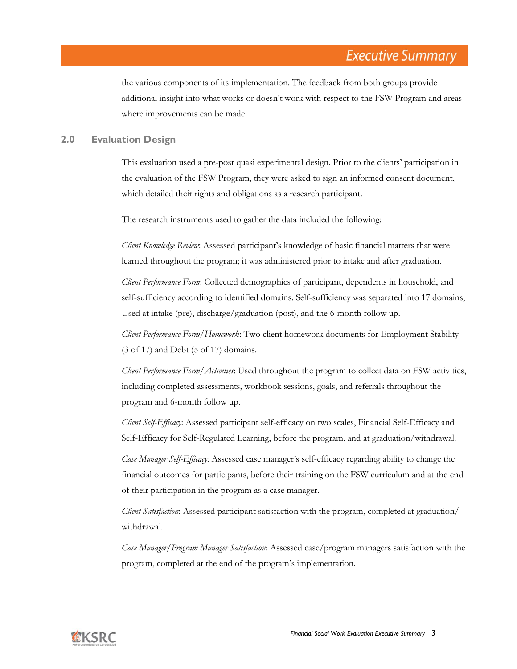the various components of its implementation. The feedback from both groups provide additional insight into what works or doesn't work with respect to the FSW Program and areas where improvements can be made.

## **2.0 Evaluation Design**

This evaluation used a pre-post quasi experimental design. Prior to the clients' participation in the evaluation of the FSW Program, they were asked to sign an informed consent document, which detailed their rights and obligations as a research participant.

The research instruments used to gather the data included the following:

*Client Knowledge Review*: Assessed participant's knowledge of basic financial matters that were learned throughout the program; it was administered prior to intake and after graduation.

*Client Performance Form*: Collected demographics of participant, dependents in household, and self-sufficiency according to identified domains. Self-sufficiency was separated into 17 domains, Used at intake (pre), discharge/graduation (post), and the 6-month follow up.

*Client Performance Form/Homework*: Two client homework documents for Employment Stability (3 of 17) and Debt (5 of 17) domains.

*Client Performance Form/Activities*: Used throughout the program to collect data on FSW activities, including completed assessments, workbook sessions, goals, and referrals throughout the program and 6-month follow up.

*Client Self-Efficacy*: Assessed participant self-efficacy on two scales, Financial Self-Efficacy and Self-Efficacy for Self-Regulated Learning, before the program, and at graduation/withdrawal.

*Case Manager Self-Efficacy:* Assessed case manager's self-efficacy regarding ability to change the financial outcomes for participants, before their training on the FSW curriculum and at the end of their participation in the program as a case manager.

*Client Satisfaction*: Assessed participant satisfaction with the program, completed at graduation/ withdrawal.

*Case Manager/Program Manager Satisfaction*: Assessed case/program managers satisfaction with the program, completed at the end of the program's implementation.

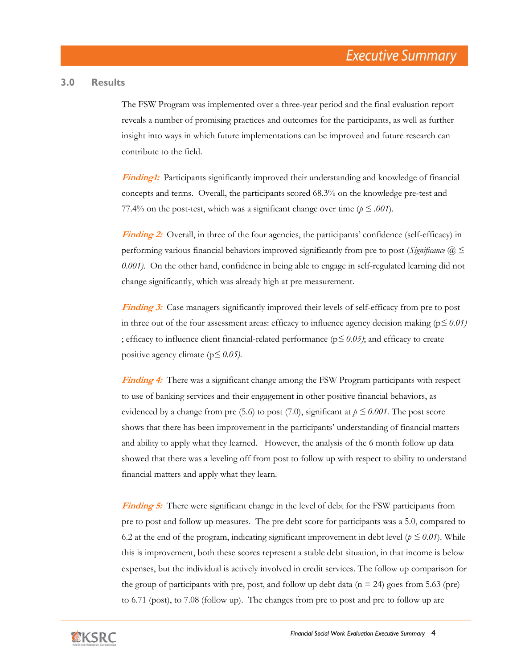#### **3.0 Results**

The FSW Program was implemented over a three-year period and the final evaluation report reveals a number of promising practices and outcomes for the participants, as well as further insight into ways in which future implementations can be improved and future research can contribute to the field.

**Finding1:** Participants significantly improved their understanding and knowledge of financial concepts and terms. Overall, the participants scored 68.3% on the knowledge pre-test and 77.4% on the post-test, which was a significant change over time ( $p \le 0.001$ ).

**Finding 2:** Overall, in three of the four agencies, the participants' confidence (self-efficacy) in performing various financial behaviors improved significantly from pre to post (*Significance @ ≤ 0.001).* On the other hand, confidence in being able to engage in self-regulated learning did not change significantly, which was already high at pre measurement.

**Finding 3:** Case managers significantly improved their levels of self-efficacy from pre to post in three out of the four assessment areas: efficacy to influence agency decision making ( $p \le 0.01$ *)* ; efficacy to influence client financial-related performance (p*≤ 0.05)*; and efficacy to create positive agency climate (p*≤ 0.05)*.

**Finding 4:** There was a significant change among the FSW Program participants with respect to use of banking services and their engagement in other positive financial behaviors, as evidenced by a change from pre (5.6) to post (7.0), significant at  $p \leq 0.001$ . The post score shows that there has been improvement in the participants' understanding of financial matters and ability to apply what they learned. However, the analysis of the 6 month follow up data showed that there was a leveling off from post to follow up with respect to ability to understand financial matters and apply what they learn.

**Finding 5:** There were significant change in the level of debt for the FSW participants from pre to post and follow up measures. The pre debt score for participants was a 5.0, compared to 6.2 at the end of the program, indicating significant improvement in debt level ( $p \le 0.01$ ). While this is improvement, both these scores represent a stable debt situation, in that income is below expenses, but the individual is actively involved in credit services. The follow up comparison for the group of participants with pre, post, and follow up debt data ( $n = 24$ ) goes from 5.63 (pre) to 6.71 (post), to 7.08 (follow up). The changes from pre to post and pre to follow up are

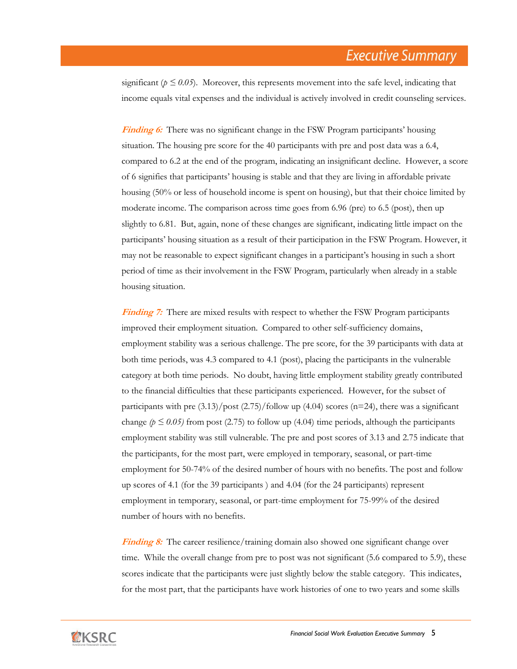significant ( $p \le 0.05$ ). Moreover, this represents movement into the safe level, indicating that income equals vital expenses and the individual is actively involved in credit counseling services.

**Finding 6:** There was no significant change in the FSW Program participants' housing situation. The housing pre score for the 40 participants with pre and post data was a 6.4, compared to 6.2 at the end of the program, indicating an insignificant decline. However, a score of 6 signifies that participants' housing is stable and that they are living in affordable private housing (50% or less of household income is spent on housing), but that their choice limited by moderate income. The comparison across time goes from 6.96 (pre) to 6.5 (post), then up slightly to 6.81. But, again, none of these changes are significant, indicating little impact on the participants' housing situation as a result of their participation in the FSW Program. However, it may not be reasonable to expect significant changes in a participant's housing in such a short period of time as their involvement in the FSW Program, particularly when already in a stable housing situation.

**Finding 7:** There are mixed results with respect to whether the FSW Program participants improved their employment situation. Compared to other self-sufficiency domains, employment stability was a serious challenge. The pre score, for the 39 participants with data at both time periods, was 4.3 compared to 4.1 (post), placing the participants in the vulnerable category at both time periods. No doubt, having little employment stability greatly contributed to the financial difficulties that these participants experienced. However, for the subset of participants with pre  $(3.13)/$  post  $(2.75)/$  follow up  $(4.04)$  scores (n=24), there was a significant change  $(p \le 0.05)$  from post (2.75) to follow up (4.04) time periods, although the participants employment stability was still vulnerable. The pre and post scores of 3.13 and 2.75 indicate that the participants, for the most part, were employed in temporary, seasonal, or part-time employment for 50-74% of the desired number of hours with no benefits. The post and follow up scores of 4.1 (for the 39 participants ) and 4.04 (for the 24 participants) represent employment in temporary, seasonal, or part-time employment for 75-99% of the desired number of hours with no benefits.

**Finding 8:** The career resilience/training domain also showed one significant change over time. While the overall change from pre to post was not significant (5.6 compared to 5.9), these scores indicate that the participants were just slightly below the stable category. This indicates, for the most part, that the participants have work histories of one to two years and some skills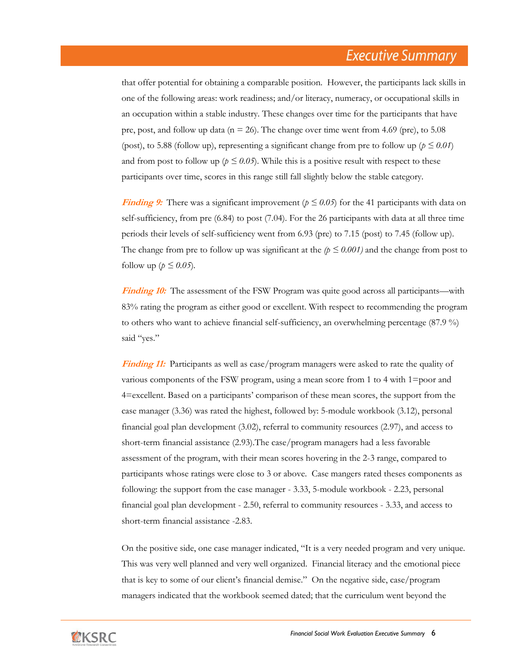that offer potential for obtaining a comparable position. However, the participants lack skills in one of the following areas: work readiness; and/or literacy, numeracy, or occupational skills in an occupation within a stable industry. These changes over time for the participants that have pre, post, and follow up data ( $n = 26$ ). The change over time went from 4.69 (pre), to 5.08 (post), to 5.88 (follow up), representing a significant change from pre to follow up ( $p \le 0.01$ ) and from post to follow up ( $p \le 0.05$ ). While this is a positive result with respect to these participants over time, scores in this range still fall slightly below the stable category.

**Finding 9:** There was a significant improvement ( $p \le 0.05$ ) for the 41 participants with data on self-sufficiency, from pre (6.84) to post (7.04). For the 26 participants with data at all three time periods their levels of self-sufficiency went from 6.93 (pre) to 7.15 (post) to 7.45 (follow up). The change from pre to follow up was significant at the  $(p \le 0.001)$  and the change from post to follow up ( $p \leq 0.05$ ).

**Finding 10:** The assessment of the FSW Program was quite good across all participants—with 83% rating the program as either good or excellent. With respect to recommending the program to others who want to achieve financial self-sufficiency, an overwhelming percentage (87.9 %) said "yes."

**Finding 11:** Participants as well as case/program managers were asked to rate the quality of various components of the FSW program, using a mean score from 1 to 4 with 1=poor and 4=excellent. Based on a participants' comparison of these mean scores, the support from the case manager (3.36) was rated the highest, followed by: 5-module workbook (3.12), personal financial goal plan development (3.02), referral to community resources (2.97), and access to short-term financial assistance (2.93).The case/program managers had a less favorable assessment of the program, with their mean scores hovering in the 2-3 range, compared to participants whose ratings were close to 3 or above. Case mangers rated theses components as following: the support from the case manager - 3.33, 5-module workbook - 2.23, personal financial goal plan development - 2.50, referral to community resources - 3.33, and access to short-term financial assistance -2.83.

On the positive side, one case manager indicated, "It is a very needed program and very unique. This was very well planned and very well organized. Financial literacy and the emotional piece that is key to some of our client's financial demise." On the negative side, case/program managers indicated that the workbook seemed dated; that the curriculum went beyond the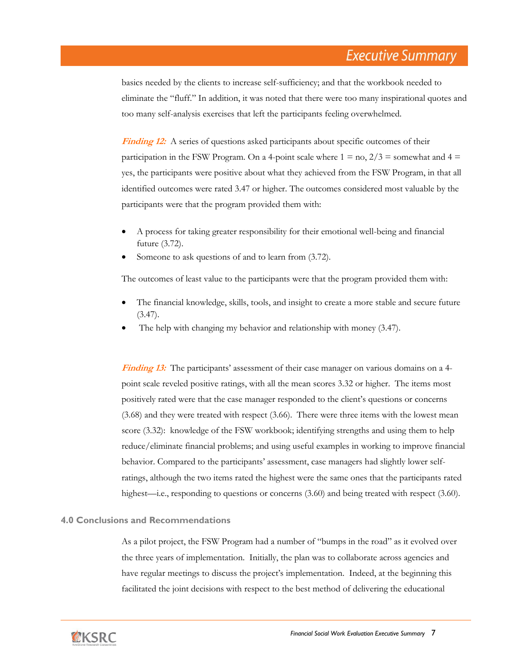basics needed by the clients to increase self-sufficiency; and that the workbook needed to eliminate the "fluff." In addition, it was noted that there were too many inspirational quotes and too many self-analysis exercises that left the participants feeling overwhelmed.

**Finding 12:** A series of questions asked participants about specific outcomes of their participation in the FSW Program. On a 4-point scale where  $1 =$  no,  $2/3 =$  somewhat and  $4 =$ yes, the participants were positive about what they achieved from the FSW Program, in that all identified outcomes were rated 3.47 or higher. The outcomes considered most valuable by the participants were that the program provided them with:

- A process for taking greater responsibility for their emotional well-being and financial future (3.72).
- Someone to ask questions of and to learn from (3.72).

The outcomes of least value to the participants were that the program provided them with:

- The financial knowledge, skills, tools, and insight to create a more stable and secure future  $(3.47).$
- The help with changing my behavior and relationship with money (3.47).

**Finding 13:** The participants' assessment of their case manager on various domains on a 4 point scale reveled positive ratings, with all the mean scores 3.32 or higher. The items most positively rated were that the case manager responded to the client's questions or concerns (3.68) and they were treated with respect (3.66). There were three items with the lowest mean score (3.32): knowledge of the FSW workbook; identifying strengths and using them to help reduce/eliminate financial problems; and using useful examples in working to improve financial behavior. Compared to the participants' assessment, case managers had slightly lower selfratings, although the two items rated the highest were the same ones that the participants rated highest—i.e., responding to questions or concerns (3.60) and being treated with respect (3.60).

#### **4.0 Conclusions and Recommendations**

As a pilot project, the FSW Program had a number of "bumps in the road" as it evolved over the three years of implementation. Initially, the plan was to collaborate across agencies and have regular meetings to discuss the project's implementation. Indeed, at the beginning this facilitated the joint decisions with respect to the best method of delivering the educational

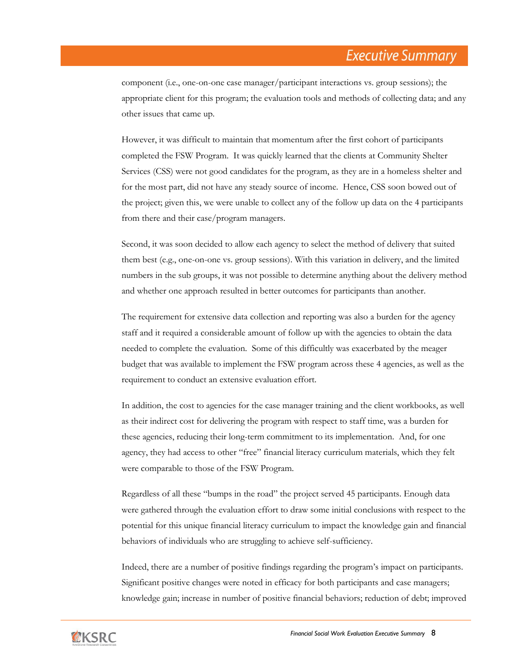component (i.e., one-on-one case manager/participant interactions vs. group sessions); the appropriate client for this program; the evaluation tools and methods of collecting data; and any other issues that came up.

However, it was difficult to maintain that momentum after the first cohort of participants completed the FSW Program. It was quickly learned that the clients at Community Shelter Services (CSS) were not good candidates for the program, as they are in a homeless shelter and for the most part, did not have any steady source of income. Hence, CSS soon bowed out of the project; given this, we were unable to collect any of the follow up data on the 4 participants from there and their case/program managers.

Second, it was soon decided to allow each agency to select the method of delivery that suited them best (e.g., one-on-one vs. group sessions). With this variation in delivery, and the limited numbers in the sub groups, it was not possible to determine anything about the delivery method and whether one approach resulted in better outcomes for participants than another.

The requirement for extensive data collection and reporting was also a burden for the agency staff and it required a considerable amount of follow up with the agencies to obtain the data needed to complete the evaluation. Some of this difficultly was exacerbated by the meager budget that was available to implement the FSW program across these 4 agencies, as well as the requirement to conduct an extensive evaluation effort.

In addition, the cost to agencies for the case manager training and the client workbooks, as well as their indirect cost for delivering the program with respect to staff time, was a burden for these agencies, reducing their long-term commitment to its implementation. And, for one agency, they had access to other "free" financial literacy curriculum materials, which they felt were comparable to those of the FSW Program.

Regardless of all these "bumps in the road" the project served 45 participants. Enough data were gathered through the evaluation effort to draw some initial conclusions with respect to the potential for this unique financial literacy curriculum to impact the knowledge gain and financial behaviors of individuals who are struggling to achieve self-sufficiency.

Indeed, there are a number of positive findings regarding the program's impact on participants. Significant positive changes were noted in efficacy for both participants and case managers; knowledge gain; increase in number of positive financial behaviors; reduction of debt; improved